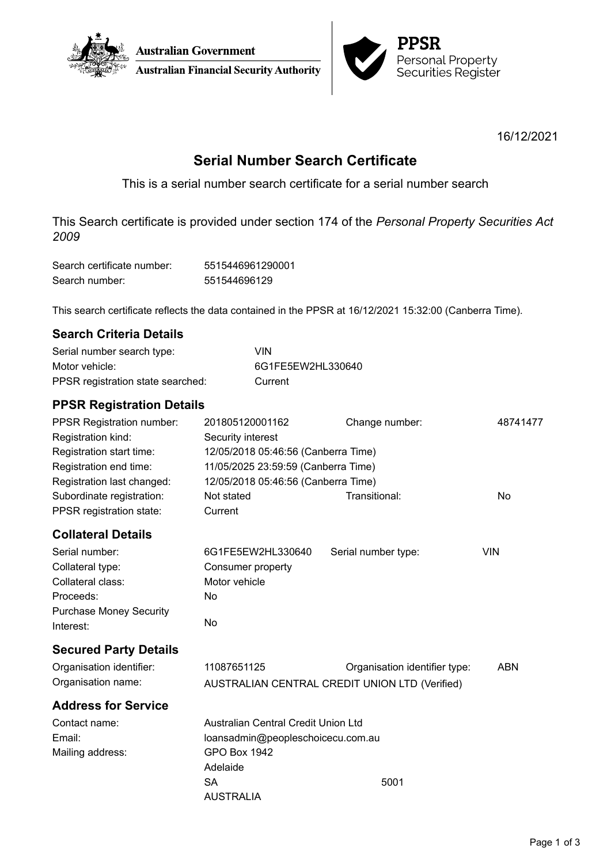



16/12/2021

# **Serial Number Search Certificate**

This is a serial number search certificate for a serial number search

This Search certificate is provided under section 174 of the *Personal Property Securities Act 2009*

| Search certificate number: | 5515446961290001 |
|----------------------------|------------------|
| Search number:             | 551544696129     |

This search certificate reflects the data contained in the PPSR at 16/12/2021 15:32:00 (Canberra Time).

| <b>Search Criteria Details</b> |  |
|--------------------------------|--|
|                                |  |

| Serial number search type:        | VIN               |
|-----------------------------------|-------------------|
| Motor vehicle:                    | 6G1FE5EW2HL330640 |
| PPSR registration state searched: | Current           |

## **PPSR Registration Details**

| <b>PPSR Registration number:</b> | 201805120001162                     | Change number:                                 | 48741477   |
|----------------------------------|-------------------------------------|------------------------------------------------|------------|
| Registration kind:               | Security interest                   |                                                |            |
| Registration start time:         | 12/05/2018 05:46:56 (Canberra Time) |                                                |            |
| Registration end time:           | 11/05/2025 23:59:59 (Canberra Time) |                                                |            |
| Registration last changed:       | 12/05/2018 05:46:56 (Canberra Time) |                                                |            |
| Subordinate registration:        | Not stated                          | Transitional:                                  | <b>No</b>  |
| PPSR registration state:         | Current                             |                                                |            |
| <b>Collateral Details</b>        |                                     |                                                |            |
| Serial number:                   | 6G1FE5EW2HL330640                   | Serial number type:                            | <b>VIN</b> |
| Collateral type:                 | Consumer property                   |                                                |            |
| Collateral class:                | Motor vehicle                       |                                                |            |
| Proceeds:                        | No                                  |                                                |            |
| <b>Purchase Money Security</b>   |                                     |                                                |            |
| Interest:                        | No                                  |                                                |            |
| <b>Secured Party Details</b>     |                                     |                                                |            |
| Organisation identifier:         | 11087651125                         | Organisation identifier type:                  | <b>ABN</b> |
| Organisation name:               |                                     | AUSTRALIAN CENTRAL CREDIT UNION LTD (Verified) |            |
| <b>Address for Service</b>       |                                     |                                                |            |
| Contact name:                    | Australian Central Credit Union Ltd |                                                |            |
| Email:                           | loansadmin@peopleschoicecu.com.au   |                                                |            |
| Mailing address:                 | <b>GPO Box 1942</b>                 |                                                |            |
|                                  | Adelaide                            |                                                |            |
|                                  | <b>SA</b>                           | 5001                                           |            |
|                                  | <b>AUSTRALIA</b>                    |                                                |            |
|                                  |                                     |                                                |            |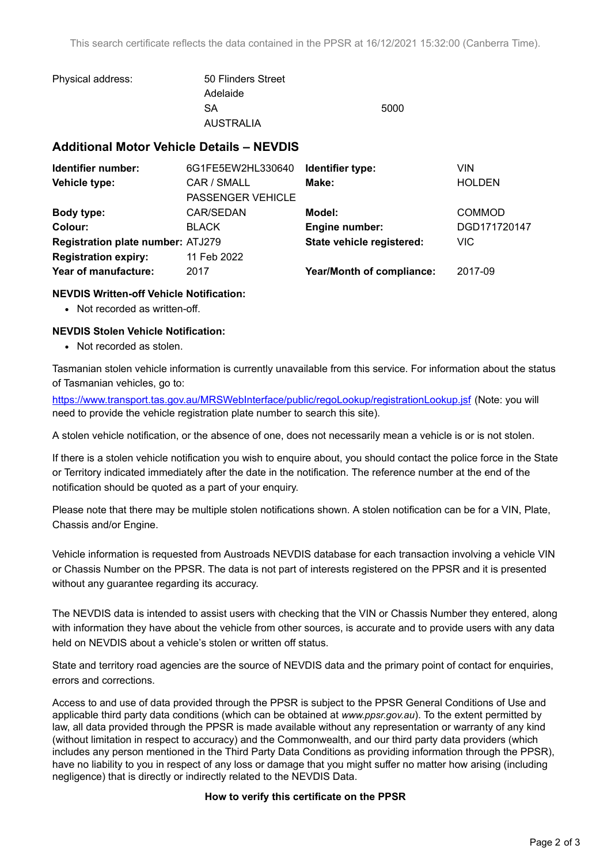| Physical address: | 50 Flinders Street |      |
|-------------------|--------------------|------|
|                   | Adelaide           |      |
|                   | SA                 | 5000 |
|                   | <b>AUSTRALIA</b>   |      |

### **Additional Motor Vehicle Details – NEVDIS**

| 6G1FE5EW2HL330640                        | Identifier type:          | VIN           |
|------------------------------------------|---------------------------|---------------|
| CAR / SMALL                              | Make:                     | <b>HOLDEN</b> |
| PASSENGER VEHICLE                        |                           |               |
| CAR/SEDAN                                | Model:                    | <b>COMMOD</b> |
| <b>BLACK</b>                             | <b>Engine number:</b>     | DGD171720147  |
| <b>Registration plate number: ATJ279</b> | State vehicle registered: | <b>VIC</b>    |
| 11 Feb 2022                              |                           |               |
| 2017                                     | Year/Month of compliance: | 2017-09       |
|                                          |                           |               |

#### **NEVDIS Written-off Vehicle Notification:**

• Not recorded as written-off.

#### **NEVDIS Stolen Vehicle Notification:**

• Not recorded as stolen.

Tasmanian stolen vehicle information is currently unavailable from this service. For information about the status of Tasmanian vehicles, go to:

<https://www.transport.tas.gov.au/MRSWebInterface/public/regoLookup/registrationLookup.jsf> (Note: you will need to provide the vehicle registration plate number to search this site).

A stolen vehicle notification, or the absence of one, does not necessarily mean a vehicle is or is not stolen.

If there is a stolen vehicle notification you wish to enquire about, you should contact the police force in the State or Territory indicated immediately after the date in the notification. The reference number at the end of the notification should be quoted as a part of your enquiry.

Please note that there may be multiple stolen notifications shown. A stolen notification can be for a VIN, Plate, Chassis and/or Engine.

Vehicle information is requested from Austroads NEVDIS database for each transaction involving a vehicle VIN or Chassis Number on the PPSR. The data is not part of interests registered on the PPSR and it is presented without any guarantee regarding its accuracy.

The NEVDIS data is intended to assist users with checking that the VIN or Chassis Number they entered, along with information they have about the vehicle from other sources, is accurate and to provide users with any data held on NEVDIS about a vehicle's stolen or written off status.

State and territory road agencies are the source of NEVDIS data and the primary point of contact for enquiries, errors and corrections.

Access to and use of data provided through the PPSR is subject to the PPSR General Conditions of Use and applicable third party data conditions (which can be obtained at *[www.ppsr.gov.au](http://www.ppsr.gov.au)*). To the extent permitted by law, all data provided through the PPSR is made available without any representation or warranty of any kind (without limitation in respect to accuracy) and the Commonwealth, and our third party data providers (which includes any person mentioned in the Third Party Data Conditions as providing information through the PPSR), have no liability to you in respect of any loss or damage that you might suffer no matter how arising (including negligence) that is directly or indirectly related to the NEVDIS Data.

#### **How to verify this certificate on the PPSR**